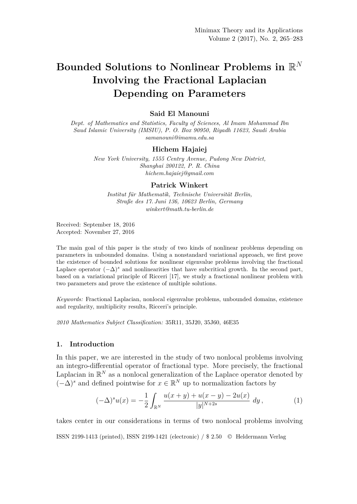# **Bounded Solutions to Nonlinear Problems in** R *N* **Involving the Fractional Laplacian Depending on Parameters**

## **Said El Manouni**

*Dept. of Mathematics and Statistics, Faculty of Sciences, Al Imam Mohammad Ibn Saud Islamic University (IMSIU), P. O. Box 90950, Riyadh 11623, Saudi Arabia samanouni@imamu.edu.sa*

#### **Hichem Hajaiej**

*New York University, 1555 Centry Avenue, Pudong New District, Shanghai 200122, P. R. China hichem.hajaiej@gmail.com*

### **Patrick Winkert**

*Institut für Mathematik, Technische Universität Berlin, Straße des 17. Juni 136, 10623 Berlin, Germany winkert@math.tu-berlin.de*

Received: September 18, 2016 Accepted: November 27, 2016

The main goal of this paper is the study of two kinds of nonlinear problems depending on parameters in unbounded domains. Using a nonstandard variational approach, we first prove the existence of bounded solutions for nonlinear eigenvalue problems involving the fractional Laplace operator  $(-\Delta)^s$  and nonlinearities that have subcritical growth. In the second part, based on a variational principle of Ricceri [17], we study a fractional nonlinear problem with two parameters and prove the existence of multiple solutions.

*Keywords:* Fractional Laplacian, nonlocal eigenvalue problems, unbounded domains, existence and regularity, multiplicity results, Ricceri's principle.

*2010 Mathematics Subject Classification:* 35R11, 35J20, 35J60, 46E35

## **1. Introduction**

In this paper, we are interested in the study of two nonlocal problems involving an integro-differential operator of fractional type. More precisely, the fractional Laplacian in  $\mathbb{R}^N$  as a nonlocal generalization of the Laplace operator denoted by  $(-\Delta)^s$  and defined pointwise for  $x \in \mathbb{R}^N$  up to normalization factors by

$$
(-\Delta)^s u(x) = -\frac{1}{2} \int_{\mathbb{R}^N} \frac{u(x+y) + u(x-y) - 2u(x)}{|y|^{N+2s}} dy,
$$
 (1)

takes center in our considerations in terms of two nonlocal problems involving ISSN 2199-1413 (printed), ISSN 2199-1421 (electronic) / \$ 2.50 © Heldermann Verlag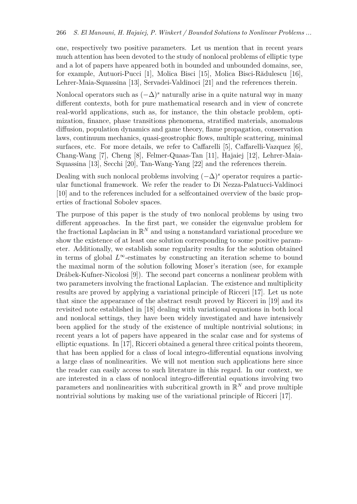one, respectively two positive parameters. Let us mention that in recent years much attention has been devoted to the study of nonlocal problems of elliptic type and a lot of papers have appeared both in bounded and unbounded domains, see, for example, Autuori-Pucci [1], Molica Bisci [15], Molica Bisci-Rădulescu [16], Lehrer-Maia-Squassina [13], Servadei-Valdinoci [21] and the references therein.

Nonlocal operators such as  $(-\Delta)^s$  naturally arise in a quite natural way in many different contexts, both for pure mathematical research and in view of concrete real-world applications, such as, for instance, the thin obstacle problem, optimization, finance, phase transitions phenomena, stratified materials, anomalous diffusion, population dynamics and game theory, flame propagation, conservation laws, continuum mechanics, quasi-geostrophic flows, multiple scattering, minimal surfaces, etc. For more details, we refer to Caffarelli [5], Caffarelli-Vazquez [6], Chang-Wang [7], Cheng [8], Felmer-Quaas-Tan [11], Hajaiej [12], Lehrer-Maia-Squassina [13], Secchi [20], Tan-Wang-Yang [22] and the references therein.

Dealing with such nonlocal problems involving  $(-\Delta)^s$  operator requires a particular functional framework. We refer the reader to Di Nezza-Palatucci-Valdinoci [10] and to the references included for a selfcontained overview of the basic properties of fractional Sobolev spaces.

The purpose of this paper is the study of two nonlocal problems by using two different approaches. In the first part, we consider the eigenvalue problem for the fractional Laplacian in  $\mathbb{R}^N$  and using a nonstandard variational procedure we show the existence of at least one solution corresponding to some positive parameter. Additionally, we establish some regularity results for the solution obtained in terms of global  $L^\infty$ -estimates by constructing an iteration scheme to bound the maximal norm of the solution following Moser's iteration (see, for example Drábek-Kufner-Nicolosi [9]). The second part concerns a nonlinear problem with two parameters involving the fractional Laplacian. The existence and multiplicity results are proved by applying a variational principle of Ricceri [17]. Let us note that since the appearance of the abstract result proved by Ricceri in [19] and its revisited note established in [18] dealing with variational equations in both local and nonlocal settings, they have been widely investigated and have intensively been applied for the study of the existence of multiple nontrivial solutions; in recent years a lot of papers have appeared in the scalar case and for systems of elliptic equations. In [17], Ricceri obtained a general three critical points theorem, that has been applied for a class of local integro-differential equations involving a large class of nonlinearities. We will not mention such applications here since the reader can easily access to such literature in this regard. In our context, we are interested in a class of nonlocal integro-differential equations involving two parameters and nonlinearities with subcritical growth in  $\mathbb{R}^N$  and prove multiple nontrivial solutions by making use of the variational principle of Ricceri [17].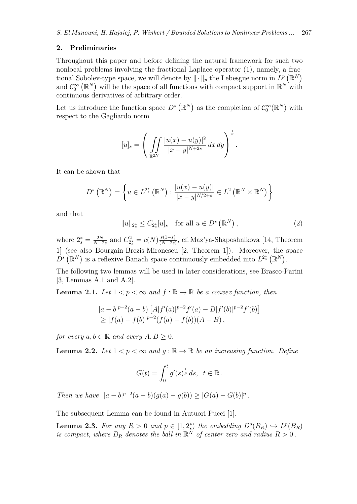#### **2. Preliminaries**

Throughout this paper and before defining the natural framework for such two nonlocal problems involving the fractional Laplace operator (1), namely, a fractional Sobolev-type space, we will denote by  $\|\cdot\|_p$  the Lebesgue norm in  $L^p(\mathbb{R}^N)$ and  $C_0^{\infty}(\mathbb{R}^N)$  will be the space of all functions with compact support in  $\mathbb{R}^N$  with continuous derivatives of arbitrary order.

Let us introduce the function space  $D^s(\mathbb{R}^N)$  as the completion of  $C_0^{\infty}(\mathbb{R}^N)$  with respect to the Gagliardo norm

$$
[u]_s = \left( \iint\limits_{\mathbb{R}^{2N}} \frac{|u(x) - u(y)|^2}{|x - y|^{N+2s}} dx dy \right)^{\frac{1}{2}}.
$$

It can be shown that

$$
D^{s}(\mathbb{R}^{N}) = \left\{ u \in L^{2_{s}^{*}}(\mathbb{R}^{N}) : \frac{|u(x) - u(y)|}{|x - y|^{N/2+s}} \in L^{2}(\mathbb{R}^{N} \times \mathbb{R}^{N}) \right\}
$$

and that

$$
||u||_{2_s^*} \le C_{2_s^*}[u]_s \text{ for all } u \in D^s(\mathbb{R}^N), \tag{2}
$$

where  $2_s^* = \frac{2N}{N-2}$  $\frac{2N}{N-2s}$  and  $C_{2_s}^2 = c(N) \frac{s(1-s)}{(N-2s)}$ (*N−*2*s*) , cf. Maz'ya-Shaposhnikova [14, Theorem 1] (see also Bourgain-Brezis-Mironescu [2, Theorem 1]). Moreover, the space  $D^s(\mathbb{R}^N)$  is a reflexive Banach space continuously embedded into  $L^{2^*_s}(\mathbb{R}^N)$ .

The following two lemmas will be used in later considerations, see Brasco-Parini [3, Lemmas A.1 and A.2].

**Lemma 2.1.** *Let*  $1 < p < \infty$  *and*  $f : \mathbb{R} \to \mathbb{R}$  *be a convex function, then* 

$$
|a-b|^{p-2}(a-b) [A|f'(a)|^{p-2}f'(a) - B|f'(b)|^{p-2}f'(b)]
$$
  
\n
$$
\geq |f(a)-f(b)|^{p-2}(f(a)-f(b))(A-B),
$$

*for every*  $a, b \in \mathbb{R}$  *and every*  $A, B \geq 0$ *.* 

**Lemma 2.2.** *Let*  $1 < p < \infty$  *and*  $q : \mathbb{R} \to \mathbb{R}$  *be an increasing function. Define* 

$$
G(t) = \int_0^t g'(s)^{\frac{1}{p}} ds, \ \ t \in \mathbb{R}.
$$

Then we have  $|a-b|^{p-2}(a-b)(g(a)-g(b)) \geq |G(a)-G(b)|^p$ .

The subsequent Lemma can be found in Autuori-Pucci [1].

**Lemma 2.3.** For any  $R > 0$  and  $p \in [1, 2_s^*)$  the embedding  $D^s(B_R) \hookrightarrow L^p(B_R)$ *s is compact, where*  $B_R$  *denotes the ball in*  $\mathbb{R}^N$  *of center zero and radius*  $R > 0$ .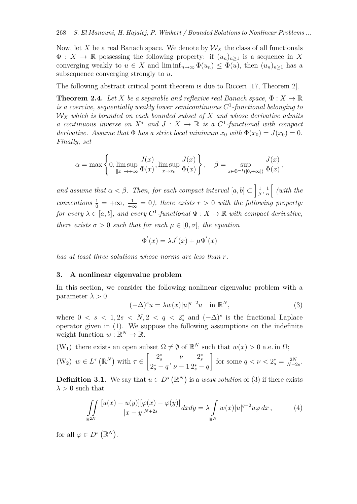Now, let X be a real Banach space. We denote by  $\mathcal{W}_X$  the class of all functionals  $\Phi: X \to \mathbb{R}$  possessing the following property: if  $(u_n)_{n\geq 1}$  is a sequence in X converging weakly to  $u \in X$  and  $\liminf_{n\to\infty} \Phi(u_n) \leq \Phi(u)$ , then  $(u_n)_{n\geq 1}$  has a subsequence converging strongly to *u*.

The following abstract critical point theorem is due to Ricceri [17, Theorem 2].

**Theorem 2.4.** *Let X be a separable and reflexive real Banach space,*  $\Phi: X \to \mathbb{R}$ *is a coercive, sequentially weakly lower semicontinuous C* 1 *-functional belonging to W<sup>X</sup> which is bounded on each bounded subset of X and whose derivative admits a continuous inverse on*  $X^*$  *and*  $J: X \to \mathbb{R}$  *is a*  $C^1$ -functional with compact *derivative.* Assume that  $\Phi$  *has a strict local minimum*  $x_0$  *with*  $\Phi(x_0) = J(x_0) = 0$ . *Finally, set*

$$
\alpha = \max\left\{0, \limsup_{\|x\| \to +\infty} \frac{J(x)}{\Phi(x)}, \limsup_{x \to x_0} \frac{J(x)}{\Phi(x)}\right\}, \quad \beta = \sup_{x \in \Phi^{-1}(]0, +\infty[)} \frac{J(x)}{\Phi(x)},
$$

*and assume that*  $\alpha < \beta$ . Then, for each compact interval  $[a, b] \subset \left[\frac{1}{\beta}\right]$  $\frac{1}{\beta}$ ,  $\frac{1}{\alpha}$  $\frac{1}{\alpha}$  (with the *conventions*  $\frac{1}{0} = +\infty$ ,  $\frac{1}{+\infty} = 0$ , there exists  $r > 0$  with the following property: *for every*  $\lambda \in [a, b]$ *, and every*  $C^1$ -functional  $\Psi : X \to \mathbb{R}$  with compact derivative, *there exists*  $\sigma > 0$  *such that for each*  $\mu \in [0, \sigma]$ *, the equation* 

$$
\Phi'(x) = \lambda J'(x) + \mu \Psi'(x)
$$

*has at least three solutions whose norms are less than r.*

#### **3. A nonlinear eigenvalue problem**

In this section, we consider the following nonlinear eigenvalue problem with a parameter  $\lambda > 0$ 

$$
(-\Delta)^s u = \lambda w(x)|u|^{q-2}u \quad \text{in } \mathbb{R}^N,
$$
\n(3)

where  $0 \lt s \lt 1, 2s \lt N, 2 \lt q \lt 2_s^*$  and  $(-\Delta)^s$  is the fractional Laplace operator given in (1). We suppose the following assumptions on the indefinite weight function  $w : \mathbb{R}^N \to \mathbb{R}$ .

(W<sub>1</sub>) there exists an open subset  $\Omega \neq \emptyset$  of  $\mathbb{R}^N$  such that  $w(x) > 0$  a.e. in  $\Omega$ ;

$$
(W_2) \ w \in L^{\tau}\left(\mathbb{R}^N\right) \text{ with } \tau \in \left[\frac{2_s^*}{2_s^*-q}, \frac{\nu}{\nu-1} \frac{2_s^*}{2_s^*-q}\right] \text{ for some } q < \nu < 2_s^* = \frac{2N}{N-2s}.
$$

**Definition 3.1.** We say that  $u \in D^s(\mathbb{R}^N)$  is a *weak solution* of (3) if there exists  $\lambda > 0$  such that

$$
\iint\limits_{\mathbb{R}^{2N}} \frac{[u(x) - u(y)][\varphi(x) - \varphi(y)]}{|x - y|^{N+2s}} dx dy = \lambda \int\limits_{\mathbb{R}^N} w(x)|u|^{q-2}u\varphi dx ,\qquad (4)
$$

for all  $\varphi \in D^s(\mathbb{R}^N)$ .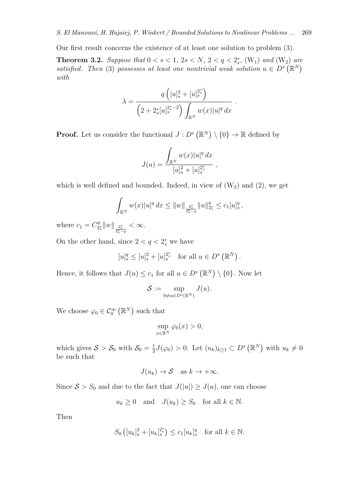Our first result concerns the existence of at least one solution to problem (3).

**Theorem 3.2.** *Suppose that*  $0 < s < 1$ ,  $2s < N$ ,  $2 < q < 2_s^*$ ,  $(W_1)$  and  $(W_2)$  are *satisfied.* Then (3) possesses at least one nontrivial weak solution  $u \in D^s(\mathbb{R}^N)$ *with*

$$
\lambda = \frac{q\left([u]_s^2 + [u]_s^{2^*s}\right)}{\left(2 + 2^*_s[u]_s^{2^*-2}\right)\int_{\mathbb{R}^N} w(x)|u|^q dx}
$$

*.*

**Proof.** Let us consider the functional  $J: D^s(\mathbb{R}^N) \setminus \{0\} \to \mathbb{R}$  defined by

$$
J(u) = \frac{\int_{\mathbb{R}^N} w(x)|u|^q dx}{[u]_s^2 + [u]_s^{2^*}},
$$

which is well defined and bounded. Indeed, in view of  $(W_2)$  and  $(2)$ , we get

$$
\int_{\mathbb{R}^N} w(x)|u|^q dx \leq ||w||_{\frac{2^*_s}{2^*_s-q}} ||u||_{2^*_s}^q \leq c_1 [u]_s^q,
$$

where  $c_1 = C_2^q$  $\frac{q}{2^*_s}$  ||  $w$  ||  $\frac{2^*_s}{2^*_s-q}$ *< ∞*.

On the other hand, since  $2 < q < 2_s^*$  we have

$$
[u]_s^q \le [u]_s^2 + [u]_s^{2^*}
$$
 for all  $u \in D^s(\mathbb{R}^N)$ .

Hence, it follows that  $J(u) \leq c_1$  for all  $u \in D^s(\mathbb{R}^N) \setminus \{0\}$ . Now let

$$
\mathcal{S}:=\sup_{0\neq u\in D^s(\mathbb{R}^N)}J(u).
$$

We choose  $\varphi_0 \in C_0^{\infty}(\mathbb{R}^N)$  such that

$$
\sup_{x \in \mathbb{R}^N} \varphi_0(x) > 0,
$$

which gives  $S > S_0$  with  $S_0 = \frac{1}{2}$  $\frac{1}{2}J(\varphi_0) > 0$ . Let  $(u_k)_{k \geq 1} \subset D^s(\mathbb{R}^N)$  with  $u_k \neq 0$ be such that

$$
J(u_k) \to S \quad \text{as } k \to +\infty.
$$

Since  $S > S_0$  and due to the fact that  $J(|u|) \geq J(u)$ , one can choose

 $u_k \geq 0$  and  $J(u_k) \geq S_0$  for all  $k \in \mathbb{N}$ .

Then

$$
S_0\left([u_k]_s^2 + [u_k]_s^{2_s^*}\right) \le c_1[u_k]_s^q \quad \text{for all } k \in \mathbb{N}.
$$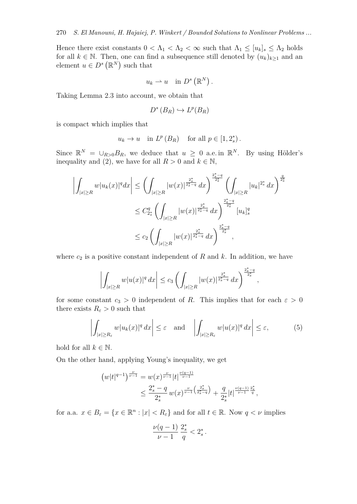Hence there exist constants  $0 < \Lambda_1 < \Lambda_2 < \infty$  such that  $\Lambda_1 \leq [u_k]_s \leq \Lambda_2$  holds for all  $k \in \mathbb{N}$ . Then, one can find a subsequence still denoted by  $(u_k)_{k\geq 1}$  and an element  $u \in D^s(\mathbb{R}^N)$  such that

$$
u_k \rightharpoonup u
$$
 in  $D^s(\mathbb{R}^N)$ .

Taking Lemma 2.3 into account, we obtain that

$$
D^s(B_R) \hookrightarrow L^p(B_R)
$$

is compact which implies that

$$
u_k \to u
$$
 in  $L^p(B_R)$  for all  $p \in [1, 2_s^*)$ .

Since  $\mathbb{R}^N = \bigcup_{R>0} B_R$ , we deduce that  $u \geq 0$  a.e. in  $\mathbb{R}^N$ . By using Hölder's inequality and (2), we have for all  $R > 0$  and  $k \in \mathbb{N}$ ,

$$
\left| \int_{|x| \ge R} w|u_k(x)|^q dx \right| \le \left( \int_{|x| \ge R} |w(x)|^{\frac{2^*_s}{2^*_s - q}} dx \right)^{\frac{2^*_s - q}{2^*_s}} \left( \int_{|x| \ge R} |u_k|^{2^*_s} dx \right)^{\frac{q}{2^*_s}}
$$
  

$$
\le C_{2^*_s}^q \left( \int_{|x| \ge R} |w(x)|^{\frac{2^*_s}{2^*_s - q}} dx \right)^{\frac{2^*_s - q}{2^*_s}} [u_k]_s^q
$$
  

$$
\le c_2 \left( \int_{|x| \ge R} |w(x)|^{\frac{2^*_s}{2^*_s - q}} dx \right)^{\frac{2^*_s - q}{2^*_s}},
$$

where  $c_2$  is a positive constant independent of  $R$  and  $k$ . In addition, we have

$$
\left| \int_{|x| \ge R} w|u(x)|^q \, dx \right| \le c_3 \left( \int_{|x| \ge R} |w(x)|^{\frac{2^*_s}{2^*_s-q}} \, dx \right)^{\frac{2^*_s-q}{2^*_s}},
$$

for some constant  $c_3 > 0$  independent of *R*. This implies that for each  $\varepsilon > 0$ there exists  $R_{\varepsilon} > 0$  such that

$$
\left| \int_{|x| \ge R_{\varepsilon}} w |u_k(x)|^q dx \right| \le \varepsilon \quad \text{and} \quad \left| \int_{|x| \ge R_{\varepsilon}} w |u(x)|^q dx \right| \le \varepsilon,
$$
 (5)

hold for all  $k \in \mathbb{N}$ .

On the other hand, applying Young's inequality, we get

$$
(w|t|^{q-1})^{\frac{\nu}{\nu-1}} = w(x)^{\frac{\nu}{\nu-1}}|t|^{\frac{\nu(q-1)}{\nu-1}}
$$
  

$$
\leq \frac{2^*_s - q}{2^*_s} w(x)^{\frac{\nu}{\nu-1}\left(\frac{2^*_s}{2^*_s - q}\right)} + \frac{q}{2^*_s}|t|^{\frac{\nu(q-1)}{\nu-1}\frac{2^*_s}{q}},
$$

for a.a.  $x \in B_{\varepsilon} = \{x \in \mathbb{R}^n : |x| < R_{\varepsilon}\}\$ and for all  $t \in \mathbb{R}$ . Now  $q < \nu$  implies

$$
\frac{\nu(q-1)}{\nu-1} \, \frac{2_s^*}{q} < 2_s^* \, .
$$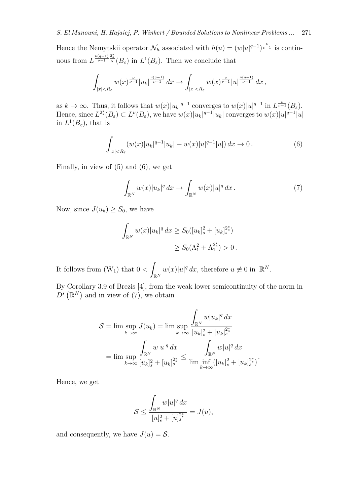Hence the Nemytskii operator  $\mathcal{N}_h$  associated with  $h(u) = (w|u|^{q-1})^{\frac{\nu}{\nu-1}}$  is continuous from  $L^{\frac{\nu(q-1)}{\nu-1}\frac{2_s^*}{q}}(B_\varepsilon)$  in  $L^1(B_\varepsilon)$ . Then we conclude that

$$
\int_{|x|
$$

as  $k \to \infty$ . Thus, it follows that  $w(x)|u_k|^{q-1}$  converges to  $w(x)|u|^{q-1}$  in  $L^{\frac{\nu}{\nu-1}}(B_{\varepsilon})$ . Hence, since  $L^{2_s^*}(B_\varepsilon) \subset L^{\nu}(B_\varepsilon)$ , we have  $w(x)|u_k|^{q-1}|u_k|$  converges to  $w(x)|u|^{q-1}|u|$ in  $L^1(B_\varepsilon)$ , that is

$$
\int_{|x|
$$

Finally, in view of (5) and (6), we get

$$
\int_{\mathbb{R}^N} w(x)|u_k|^q dx \to \int_{\mathbb{R}^N} w(x)|u|^q dx. \tag{7}
$$

*.*

Now, since  $J(u_k) \geq S_0$ , we have

$$
\int_{\mathbb{R}^N} w(x) |u_k|^q dx \ge S_0([u_k]_s^2 + [u_k]_s^{2^*})
$$
  

$$
\ge S_0(\Lambda_1^2 + \Lambda_1^{2^*}) > 0.
$$

It follows from  $(W_1)$  that  $0 < \infty$  $\mathbb{R}^N$  $w(x)|u|^q dx$ , therefore  $u \not\equiv 0$  in  $\mathbb{R}^N$ .

By Corollary 3.9 of Brezis [4], from the weak lower semicontinuity of the norm in  $D^s(\mathbb{R}^N)$  and in view of (7), we obtain

$$
\mathcal{S} = \lim \sup_{k \to \infty} J(u_k) = \lim \sup_{k \to \infty} \frac{\int_{\mathbb{R}^N} w |u_k|^q dx}{[u_k]_s^2 + [u_k]_s^{2^*}}
$$

$$
= \lim \sup_{k \to \infty} \frac{\int_{\mathbb{R}^N} w |u|^q dx}{[u_k]_s^2 + [u_k]_s^{2^*}} \le \frac{\int_{\mathbb{R}^N} w |u|^q dx}{\lim \inf_{k \to \infty} ([u_k]_s^2 + [u_k]_s^{2^*})}
$$

Hence, we get

$$
\mathcal{S} \le \frac{\displaystyle\int_{\mathbb{R}^N} w|u|^q \,dx}{[u]_{s}^{2} + [u]_{s}^{2^{*}_{s}}}=J(u),
$$

and consequently, we have  $J(u) = S$ .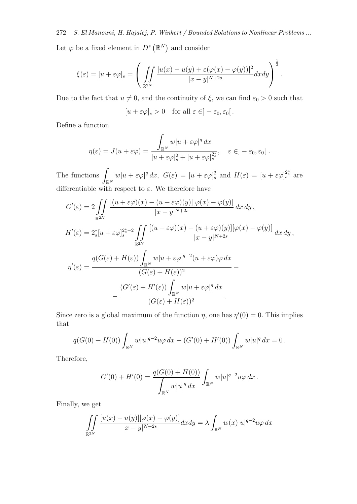272 *S. El Manouni, H. Hajaiej, P. Winkert / Bounded Solutions to Nonlinear Problems ...* Let  $\varphi$  be a fixed element in  $D^s(\mathbb{R}^N)$  and consider

$$
\xi(\varepsilon) = [u + \varepsilon \varphi]_s = \left( \iint\limits_{\mathbb{R}^{2N}} \frac{|u(x) - u(y) + \varepsilon (\varphi(x) - \varphi(y))|^2}{|x - y|^{N+2s}} dx dy \right)^{\frac{1}{2}}.
$$

Due to the fact that  $u \neq 0$ , and the continuity of  $\xi$ , we can find  $\varepsilon_0 > 0$  such that

$$
[u + \varepsilon \varphi]_s > 0 \quad \text{for all } \varepsilon \in ]-\varepsilon_0, \varepsilon_0[.
$$

Define a function

$$
\eta(\varepsilon) = J(u + \varepsilon \varphi) = \frac{\int_{\mathbb{R}^N} w|u + \varepsilon \varphi|^q dx}{[u + \varepsilon \varphi]_s^2 + [u + \varepsilon \varphi]_s^{2^*}}, \quad \varepsilon \in ]-\varepsilon_0, \varepsilon_0[.
$$

The functions ∫ R*<sup>N</sup>*  $w|u + \varepsilon\varphi|^q dx$ ,  $G(\varepsilon) = [u + \varepsilon\varphi]_s^2$  and  $H(\varepsilon) = [u + \varepsilon\varphi]_s^{2^*_s}$  are differentiable with respect to  $\varepsilon$ . We therefore have

$$
G'(\varepsilon) = 2 \iint_{\mathbb{R}^{2N}} \frac{\left[ (u + \varepsilon \varphi)(x) - (u + \varepsilon \varphi)(y) \right] [\varphi(x) - \varphi(y)]}{|x - y|^{N+2s}} dx dy,
$$
  
\n
$$
H'(\varepsilon) = 2_s^* [u + \varepsilon \varphi]_s^{2_s^* - 2} \iint_{\mathbb{R}^{2N}} \frac{\left[ (u + \varepsilon \varphi)(x) - (u + \varepsilon \varphi)(y) \right] [\varphi(x) - \varphi(y)]}{|x - y|^{N+2s}} dx dy,
$$
  
\n
$$
\eta'(\varepsilon) = \frac{q(G(\varepsilon) + H(\varepsilon)) \int_{\mathbb{R}^N} w|u + \varepsilon \varphi|^{q-2} (u + \varepsilon \varphi) \varphi dx}{(G(\varepsilon) + H(\varepsilon))^2} - \frac{(G'(\varepsilon) + H'(\varepsilon)) \int_{\mathbb{R}^N} w|u + \varepsilon \varphi|^q dx}{(G(\varepsilon) + H(\varepsilon))^2}.
$$

Since zero is a global maximum of the function  $\eta$ , one has  $\eta'(0) = 0$ . This implies that

$$
q(G(0) + H(0)) \int_{\mathbb{R}^N} w|u|^{q-2}u\varphi \, dx - (G'(0) + H'(0)) \int_{\mathbb{R}^N} w|u|^q \, dx = 0.
$$

Therefore,

$$
G'(0) + H'(0) = \frac{q(G(0) + H(0))}{\int_{\mathbb{R}^N} w|u|^q dx} \int_{\mathbb{R}^N} w|u|^{q-2} u\varphi dx.
$$

Finally, we get

$$
\iint\limits_{\mathbb{R}^{2N}}\frac{[u(x)-u(y)][\varphi(x)-\varphi(y)]}{|x-y|^{N+2s}}dxdy=\lambda\int_{\mathbb{R}^N}w(x)|u|^{q-2}u\varphi\,dx
$$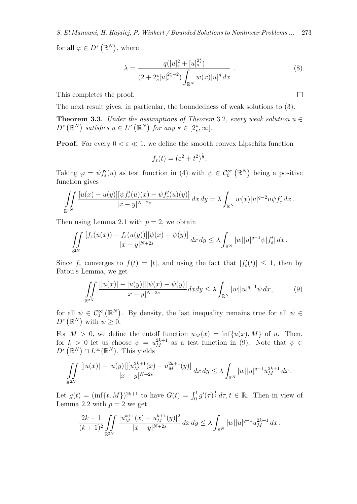*S. El Manouni, H. Hajaiej, P. Winkert / Bounded Solutions to Nonlinear Problems ...* 273

for all  $\varphi \in D^s(\mathbb{R}^N)$ , where

$$
\lambda = \frac{q([u]_s^2 + [u]_s^{2^*_s})}{(2 + 2^*_s [u]_s^{2^*_s - 2}) \int_{\mathbb{R}^N} w(x) |u|^q dx} . \tag{8}
$$

This completes the proof.

The next result gives, in particular, the boundedness of weak solutions to (3).

**Theorem 3.3.** *Under the assumptions of Theorem 3.2, every weak solution*  $u \in$  $D^s(\mathbb{R}^N)$  satisfies  $u \in L^{\kappa}(\mathbb{R}^N)$  for any  $\kappa \in [2_s^*, \infty]$ .

**Proof.** For every  $0 < \varepsilon \ll 1$ , we define the smooth convex Lipschitz function

$$
f_{\varepsilon}(t) = (\varepsilon^2 + t^2)^{\frac{1}{2}}.
$$

Taking  $\varphi = \psi f'_\varepsilon(u)$  as test function in (4) with  $\psi \in C_0^{\infty}(\mathbb{R}^N)$  being a positive function gives

$$
\iint\limits_{\mathbb{R}^{2N}}\frac{[u(x)-u(y)][\psi f_{\varepsilon}'(u)(x)-\psi f_{\varepsilon}'(u)(y)]}{|x-y|^{N+2s}}\,dx\,dy=\lambda\int_{\mathbb{R}^{N}}w(x)|u|^{q-2}u\psi f_{\varepsilon}'\,dx.
$$

Then using Lemma 2.1 with  $p = 2$ , we obtain

$$
\iint\limits_{\mathbb{R}^{2N}}\frac{[f_{\varepsilon}(u(x))-f_{\varepsilon}(u(y))][\psi(x)-\psi(y)]}{|x-y|^{N+2s}}\,dx\,dy\leq\lambda\int_{\mathbb{R}^{N}}|w||u|^{q-1}\psi|f'_{\varepsilon}|\,dx\,.
$$

Since  $f_{\varepsilon}$  converges to  $f(t) = |t|$ , and using the fact that  $|f'_{\varepsilon}(t)| \leq 1$ , then by Fatou's Lemma, we get

$$
\iint\limits_{\mathbb{R}^{2N}} \frac{[|u(x)| - |u(y)|] [\psi(x) - \psi(y)]}{|x - y|^{N+2s}} dx dy \le \lambda \int_{\mathbb{R}^N} |w| |u|^{q-1} \psi dx ,\tag{9}
$$

for all  $\psi \in C_0^{\infty}(\mathbb{R}^N)$ . By density, the last inequality remains true for all  $\psi \in$  $D^s(\mathbb{R}^N)$  with  $\psi \geq 0$ .

For  $M > 0$ , we define the cutoff function  $u_M(x) = \inf\{u(x), M\}$  of *u*. Then, for  $k > 0$  let us choose  $\psi = u_M^{2k+1}$  as a test function in (9). Note that  $\psi \in$  $D^s(\mathbb{R}^N) \cap L^\infty(\mathbb{R}^N)$ . This yields

$$
\iint\limits_{\mathbb{R}^{2N}}\frac{[|u(x)|-|u(y)|][u^{2k+1}_M(x)-u^{2k+1}_M(y)]}{|x-y|^{N+2s}}\,dx\,dy\leq\lambda\int_{\mathbb{R}^N}|w||u|^{q-1}u^{2k+1}_M\,dx\,.
$$

Let  $g(t) = (\inf\{t, M\})^{2k+1}$  to have  $G(t) = \int_0^t g'(\tau)^{\frac{1}{2}} d\tau, t \in \mathbb{R}$ . Then in view of Lemma 2.2 with  $p = 2$  we get

$$
\frac{2k+1}{(k+1)^2} \iint\limits_{\mathbb{R}^{2N}} \frac{|u_M^{k+1}(x) - u_M^{k+1}(y)|^2}{|x-y|^{N+2s}} dx dy \le \lambda \int_{\mathbb{R}^N} |w| |u|^{q-1} u_M^{2k+1} dx.
$$

 $\Box$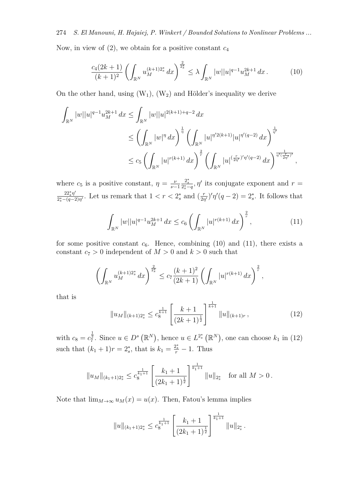274 *S. El Manouni, H. Hajaiej, P. Winkert / Bounded Solutions to Nonlinear Problems ...* Now, in view of (2), we obtain for a positive constant *c*<sup>4</sup>

$$
\frac{c_4(2k+1)}{(k+1)^2} \left( \int_{\mathbb{R}^N} u_M^{(k+1)2_s^*} dx \right)^{\frac{2}{2_s^*}} \le \lambda \int_{\mathbb{R}^N} |w| |u|^{q-1} u_M^{2k+1} dx. \tag{10}
$$

On the other hand, using  $(W_1)$ ,  $(W_2)$  and Hölder's inequality we derive

$$
\int_{\mathbb{R}^N} |w| |u|^{q-1} u_M^{2k+1} dx \le \int_{\mathbb{R}^N} |w| |u|^{2(k+1)+q-2} dx
$$
  
\n
$$
\le \left( \int_{\mathbb{R}^N} |w|^{q} dx \right)^{\frac{1}{q}} \left( \int_{\mathbb{R}^N} |u|^{q/2(k+1)} |u|^{q/(q-2)} dx \right)^{\frac{1}{q'}}
$$
  
\n
$$
\le c_5 \left( \int_{\mathbb{R}^N} |u|^{r(k+1)} dx \right)^{\frac{2}{r}} \left( \int_{\mathbb{R}^N} |u|^{(\frac{r}{2\eta'})'\eta'(q-2)} dx \right)^{\frac{1}{q/(\frac{r}{2\eta'})'}} ,
$$

where  $c_5$  is a positive constant,  $\eta = \frac{\nu}{\nu - \nu}$ *ν−*1  $\frac{2_s^*}{2_s^* - q}$ ,  $\eta'$  its conjugate exponent and  $r =$ 22*∗ sη ′*  $\frac{22^*_s \eta'}{2^*_s - (q-2)\eta'}$ . Let us remark that  $1 < r < 2^*_s$  and  $\left(\frac{r}{2r}\right)$  $\frac{r}{2\eta'}$ ' $\eta'(q-2) = 2^*_s$ . It follows that

$$
\int_{\mathbb{R}^N} |w| |u|^{q-1} u_M^{2k+1} \, dx \le c_6 \left( \int_{\mathbb{R}^N} |u|^{r(k+1)} \, dx \right)^{\frac{2}{r}},\tag{11}
$$

for some positive constant  $c_6$ . Hence, combining  $(10)$  and  $(11)$ , there exists a constant  $c_7 > 0$  independent of  $M > 0$  and  $k > 0$  such that

$$
\left(\int_{\mathbb{R}^N} u_M^{(k+1)2_s^*} dx\right)^{\frac{2}{2_s^*}} \le c_7 \frac{(k+1)^2}{(2k+1)} \left(\int_{\mathbb{R}^N} |u|^{r(k+1)} dx\right)^{\frac{2}{r}},
$$

that is

$$
||u_M||_{(k+1)2_s^*} \le c_8^{\frac{1}{k+1}} \left[ \frac{k+1}{(2k+1)^{\frac{1}{2}}} \right]^{\frac{1}{k+1}} ||u||_{(k+1)r}, \tag{12}
$$

with  $c_8 = c_7^{\frac{1}{2}}$ . Since  $u \in D^s(\mathbb{R}^N)$ , hence  $u \in L^{2_s^*}(\mathbb{R}^N)$ , one can choose  $k_1$  in (12) such that  $(k_1 + 1)r = 2_s^*$ , that is  $k_1 = \frac{2_s^*}{r} - 1$ . Thus

$$
||u_M||_{(k_1+1)2_s^*} \leq c_8^{\frac{1}{k_1+1}} \left[ \frac{k_1+1}{(2k_1+1)^{\frac{1}{2}}} \right]^{\frac{1}{k_1+1}} ||u||_{2_s^*} \text{ for all } M > 0.
$$

Note that  $\lim_{M\to\infty} u_M(x) = u(x)$ . Then, Fatou's lemma implies

$$
||u||_{(k_1+1)2_s^*} \leq c_8^{\frac{1}{k_1+1}} \left[ \frac{k_1+1}{(2k_1+1)^{\frac{1}{2}}} \right]^{\frac{1}{k_1+1}} ||u||_{2_s^*}.
$$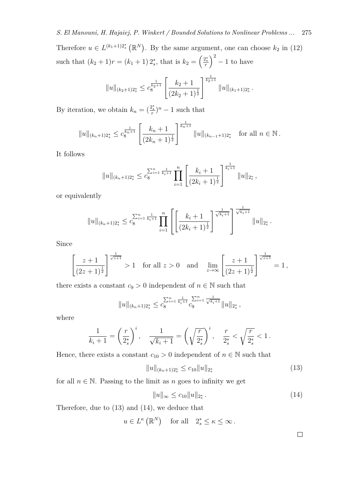Therefore  $u \in L^{(k_1+1)2^*}(\mathbb{R}^N)$ . By the same argument, one can choose  $k_2$  in (12) such that  $(k_2 + 1)r = (k_1 + 1)2_s^*$ , that is  $k_2 = \left(\frac{2_s^*}{r}\right)^2 - 1$  to have

$$
||u||_{(k_2+1)2_s^*} \leq c_8^{\frac{1}{k_2+1}} \left[ \frac{k_2+1}{(2k_2+1)^{\frac{1}{2}}} \right]^{\frac{1}{k_2+1}} ||u||_{(k_1+1)2_s^*}.
$$

By iteration, we obtain  $k_n = \left(\frac{2_s^*}{r}\right)^n - 1$  such that

$$
||u||_{(k_n+1)2_s^*} \leq c_8^{\frac{1}{k_n+1}} \left[ \frac{k_n+1}{(2k_n+1)^{\frac{1}{2}}} \right]^{\frac{1}{k_n+1}} ||u||_{(k_{n-1}+1)2_s^*} \text{ for all } n \in \mathbb{N}.
$$

It follows

$$
||u||_{(k_n+1)2_s^*} \leq c_8^{\sum_{i=1}^n \frac{1}{k_i+1}} \prod_{i=1}^n \left[ \frac{k_i+1}{(2k_i+1)^{\frac{1}{2}}} \right]^{\frac{1}{k_i+1}} ||u||_{2_s^*},
$$

or equivalently

$$
||u||_{(k_n+1)2_s^*} \leq c_8^{\sum_{i=1}^n \frac{1}{k_i+1}} \prod_{i=1}^n \left[ \left[ \frac{k_i+1}{(2k_i+1)^{\frac{1}{2}}} \right]^{\frac{1}{\sqrt{k_i+1}}} \right]^{\frac{1}{\sqrt{k_i+1}}} ||u||_{2_s^*}.
$$

Since

$$
\left[\frac{z+1}{(2z+1)^{\frac{1}{2}}}\right]^{\frac{1}{\sqrt{z+1}}} > 1 \text{ for all } z > 0 \text{ and } \lim_{z \to \infty} \left[\frac{z+1}{(2z+1)^{\frac{1}{2}}}\right]^{\frac{1}{\sqrt{z+1}}} = 1,
$$

there exists a constant  $c_9 > 0$  independent of  $n \in \mathbb{N}$  such that

$$
||u||_{(k_n+1)2_s^*} \leq c_8^{\sum_{i=1}^n \frac{1}{k_i+1}} c_9^{\sum_{i=1}^n \frac{1}{\sqrt{k_i+1}}} ||u||_{2_s^*},
$$

where

$$
\frac{1}{k_i+1} = \left(\frac{r}{2_s^*}\right)^i, \quad \frac{1}{\sqrt{k_i+1}} = \left(\sqrt{\frac{r}{2_s^*}}\right)^i, \quad \frac{r}{2_s^*} < \sqrt{\frac{r}{2_s^*}} < 1.
$$

Hence, there exists a constant  $c_{10} > 0$  independent of  $n \in \mathbb{N}$  such that

$$
||u||_{(k_n+1)2_s^*} \le c_{10}||u||_{2_s^*}
$$
\n(13)

for all  $n \in \mathbb{N}$ . Passing to the limit as *n* goes to infinity we get

$$
||u||_{\infty} \le c_{10}||u||_{2_s^*}.
$$
\n(14)

Therefore, due to (13) and (14), we deduce that

$$
u \in L^{\kappa}(\mathbb{R}^N)
$$
 for all  $2_s^* \leq \kappa \leq \infty$ .

 $\Box$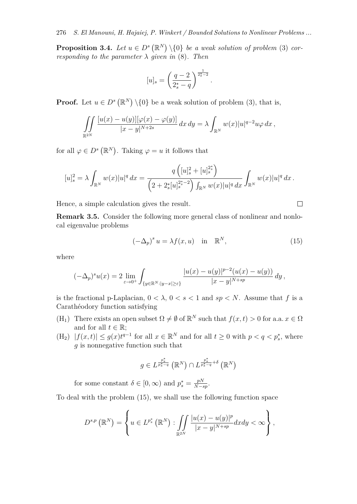**Proposition 3.4.** Let  $u \in D^s(\mathbb{R}^N) \setminus \{0\}$  be a weak solution of problem (3) cor*responding to the parameter*  $\lambda$  *given in* (8)*. Then* 

$$
[u]_s = \left(\frac{q-2}{2_s^*-q}\right)^{\frac{1}{2_s^*-2}}
$$

*.*

**Proof.** Let  $u \in D^s(\mathbb{R}^N) \setminus \{0\}$  be a weak solution of problem (3), that is,

$$
\iint\limits_{\mathbb{R}^{2N}} \frac{[u(x) - u(y)][\varphi(x) - \varphi(y)]}{|x - y|^{N+2s}} dx dy = \lambda \int_{\mathbb{R}^N} w(x)|u|^{q-2}u\varphi dx,
$$

for all  $\varphi \in D^s(\mathbb{R}^N)$ . Taking  $\varphi = u$  it follows that

$$
[u]_s^2 = \lambda \int_{\mathbb{R}^N} w(x)|u|^q dx = \frac{q\left([u]_s^2 + [u]_s^{2_s^*}\right)}{\left(2 + 2_s^*[u]_s^{2_s^* - 2}\right) \int_{\mathbb{R}^N} w(x)|u|^q dx} \int_{\mathbb{R}^N} w(x)|u|^q dx.
$$

Hence, a simple calculation gives the result.

**Remark 3.5.** Consider the following more general class of nonlinear and nonlocal eigenvalue problems

$$
(-\Delta_p)^s u = \lambda f(x, u) \quad \text{in} \quad \mathbb{R}^N,
$$
\n(15)

where

$$
(-\Delta_p)^s u(x) = 2 \lim_{\varepsilon \to 0^+} \int_{\{y \in \mathbb{R}^N : |y - x| \ge \varepsilon\}} \frac{|u(x) - u(y)|^{p-2} (u(x) - u(y))}{|x - y|^{N + sp}} dy,
$$

is the fractional p-Laplacian,  $0 < \lambda$ ,  $0 < s < 1$  and  $sp < N$ . Assume that f is a Carathéodory function satisfying

- (H<sub>1</sub>) There exists an open subset  $\Omega \neq \emptyset$  of  $\mathbb{R}^N$  such that  $f(x, t) > 0$  for a.a.  $x \in \Omega$ and for all  $t \in \mathbb{R}$ ;
- $(H_2)$   $|f(x,t)| \le g(x)t^{q-1}$  for all  $x \in \mathbb{R}^N$  and for all  $t \ge 0$  with  $p < q < p_s^*$ , where *g* is nonnegative function such that

$$
g \in L^{\frac{p_s^*}{p_s^* - q}}\left(\mathbb{R}^N\right) \cap L^{\frac{p_s^*}{p_s^* - q} + \delta}\left(\mathbb{R}^N\right)
$$

for some constant  $\delta \in [0, \infty)$  and  $p_s^* = \frac{pN}{N-s}$ *N−sp* .

To deal with the problem (15), we shall use the following function space

$$
D^{s,p}\left(\mathbb{R}^N\right) = \left\{ u \in L^{p_s^*}\left(\mathbb{R}^N\right) : \iint\limits_{\mathbb{R}^{2N}} \frac{|u(x) - u(y)|^p}{|x - y|^{N + sp}} dxdy < \infty \right\},\,
$$

$$
\Box
$$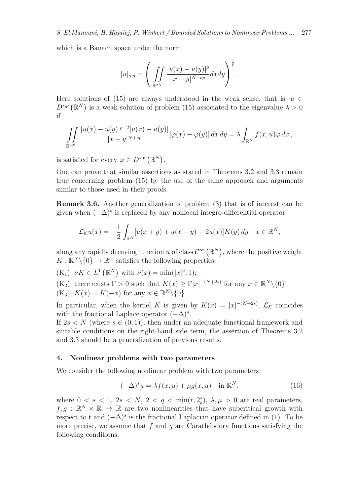which is a Banach space under the norm

$$
[u]_{s,p} = \left(\iint\limits_{\mathbb{R}^{2N}} \frac{|u(x) - u(y)|^p}{|x - y|^{N + sp}} dx dy\right)^{\frac{1}{p}}.
$$

Here solutions of (15) are always understood in the weak sense, that is,  $u \in$  $D^{s,p}(\mathbb{R}^N)$  is a weak solution of problem (15) associated to the eigenvalue  $\lambda > 0$ if

$$
\iint\limits_{\mathbb{R}^{2N}}\frac{|u(x)-u(y)|^{p-2}[u(x)-u(y)]}{|x-y|^{N+sp}}[\varphi(x)-\varphi(y)] dx dy = \lambda \int_{\mathbb{R}^N}f(x,u)\varphi dx,
$$

is satisfied for every  $\varphi \in D^{s,p}(\mathbb{R}^N)$ .

One can prove that similar assertions as stated in Theorems 3.2 and 3.3 remain true concerning problem (15) by the use of the same approach and arguments similar to those used in their proofs.

**Remark 3.6.** Another generalization of problem (3) that is of interest can be given when (*−*∆)*<sup>s</sup>* is replaced by any nonlocal integro-differential operator

$$
\mathcal{L}_{\mathcal{K}}u(x) = -\frac{1}{2} \int_{\mathbb{R}^N} [u(x+y) + u(x-y) - 2u(x)]K(y) dy \quad x \in \mathbb{R}^N,
$$

along any rapidly decaying function *u* of class  $C^{\infty}(\mathbb{R}^N)$ , where the positive weight  $K: \mathbb{R}^N \backslash \{0\} \to \mathbb{R}^+$  satisfies the following properties:

 $(K_1) \nu K \in L^1(\mathbb{R}^N)$  with  $\nu(x) = \min(|x|^2, 1);$ 

- $(K_2)$  there exists  $\Gamma > 0$  such that  $K(x) \geq \Gamma |x|^{-(N+2s)}$  for any  $x \in \mathbb{R}^N \setminus \{0\};$
- $(K_3)$   $K(x) = K(-x)$  for any  $x \in \mathbb{R}^N \setminus \{0\}.$

In particular, when the kernel *K* is given by  $K(x) = |x|^{-(N+2s)}$ ,  $\mathcal{L}_{\mathcal{K}}$  coincides with the fractional Laplace operator (*−*∆)*<sup>s</sup>* .

If  $2s < N$  (where  $s \in (0,1)$ ), then under an adequate functional framework and suitable conditions on the right-hand side term, the assertion of Theorems 3.2 and 3.3 should be a generalization of previous results.

#### **4. Nonlinear problems with two parameters**

We consider the following nonlinear problem with two parameters

$$
(-\Delta)^s u = \lambda f(x, u) + \mu g(x, u) \quad \text{in } \mathbb{R}^N,
$$
\n(16)

where  $0 < s < 1$ ,  $2s < N$ ,  $2 < q < \min(r, 2_s^*)$ ,  $\lambda, \mu > 0$  are real parameters,  $f, g : \mathbb{R}^N \times \mathbb{R} \to \mathbb{R}$  are two nonlinearities that have subcritical growth with respect to t and  $(-\Delta)^s$  is the fractional Laplacian operator defined in (1). To be more precise, we assume that f and q are Carathéodory functions satisfying the following conditions.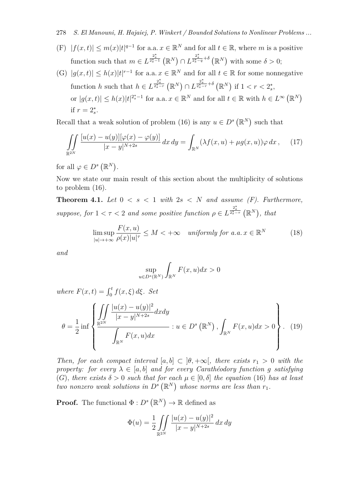278 *S. El Manouni, H. Hajaiej, P. Winkert / Bounded Solutions to Nonlinear Problems ...*

- (F)  $|f(x,t)| \leq m(x)|t|^{q-1}$  for a.a.  $x \in \mathbb{R}^N$  and for all  $t \in \mathbb{R}$ , where *m* is a positive function such that  $m \in L^{\frac{2^*_s}{2^*_s-1}}(\mathbb{R}^N) \cap L^{\frac{2^*_s}{2^*_s-q}+\delta}(\mathbb{R}^N)$  with some  $\delta > 0$ ;
- (G)  $|g(x,t)| \leq h(x)|t|^{r-1}$  for a.a.  $x \in \mathbb{R}^N$  and for all  $t \in \mathbb{R}$  for some nonnegative function h such that  $h \in L^{\frac{2^*_s}{2^*_s-r}}(\mathbb{R}^N) \cap L^{\frac{2^*_s}{2^*_s-r}+\delta}(\mathbb{R}^N)$  if  $1 < r < 2^*_s$ , or  $|g(x,t)| \leq h(x)|t|^{2_s^* - 1}$  for a.a.  $x \in \mathbb{R}^N$  and for all  $t \in \mathbb{R}$  with  $h \in L^{\infty}(\mathbb{R}^N)$ if  $r = 2_s^*$ .

Recall that a weak solution of problem (16) is any  $u \in D^s(\mathbb{R}^N)$  such that

$$
\iint\limits_{\mathbb{R}^{2N}} \frac{[u(x) - u(y)][\varphi(x) - \varphi(y)]}{|x - y|^{N+2s}} dx dy = \int_{\mathbb{R}^N} (\lambda f(x, u) + \mu g(x, u)) \varphi dx, \quad (17)
$$

for all  $\varphi \in D^s(\mathbb{R}^N)$ .

Now we state our main result of this section about the multiplicity of solutions to problem (16).

**Theorem 4.1.** *Let*  $0 \leq s \leq 1$  *with*  $2s \leq N$  *and assume (F). Furthermore, suppose, for*  $1 < \tau < 2$  *and some positive function*  $\rho \in L^{\frac{2^*_s}{2^*_s - \tau}}(\mathbb{R}^N)$ , *that* 

$$
\limsup_{|u| \to +\infty} \frac{F(x, u)}{\rho(x)|u|^\tau} \le M < +\infty \quad \text{uniformly for a.a.} \ x \in \mathbb{R}^N \tag{18}
$$

*and*

$$
\sup_{u \in D^s(\mathbb{R}^N)} \int_{\mathbb{R}^N} F(x, u) dx > 0
$$

*where*  $F(x,t) = \int_0^t f(x,\xi) d\xi$ . Set

$$
\theta = \frac{1}{2} \inf \left\{ \frac{\iint \frac{|u(x) - u(y)|^2}{|x - y|^{N+2s}} dx dy}{\int_{\mathbb{R}^N} F(x, u) dx} : u \in D^s(\mathbb{R}^N), \int_{\mathbb{R}^N} F(x, u) dx > 0 \right\}.
$$
 (19)

*Then, for each compact interval*  $[a, b] \subset [\theta, +\infty]$ *, there exists*  $r_1 > 0$  *with the property:* for every  $\lambda \in [a, b]$  and for every Carathéodory function g satisfying (*G*)*, there exists δ >* 0 *such that for each µ ∈* [0*, δ*] *the equation* (16) *has at least two nonzero weak solutions in*  $D^s(\mathbb{R}^N)$  whose norms are less than  $r_1$ .

**Proof.** The functional  $\Phi: D^s(\mathbb{R}^N) \to \mathbb{R}$  defined as

$$
\Phi(u) = \frac{1}{2} \iint_{\mathbb{R}^{2N}} \frac{|u(x) - u(y)|^2}{|x - y|^{N+2s}} dx dy
$$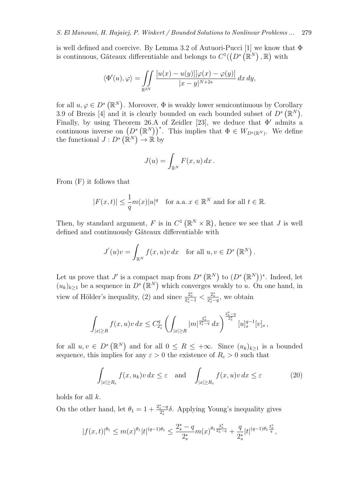is well defined and coercive. By Lemma 3.2 of Autuori-Pucci [1] we know that  $\Phi$ is continuous, Gâteaux differentiable and belongs to  $C^1((D^s(\mathbb{R}^N), \mathbb{R})$  with

$$
\langle \Phi'(u),\varphi\rangle = \iint\limits_{\mathbb{R}^{2N}}\frac{[u(x)-u(y)][\varphi(x)-\varphi(y)]}{|x-y|^{N+2s}}\,dx\,dy,
$$

for all  $u, \varphi \in D^s(\mathbb{R}^N)$ . Moreover,  $\Phi$  is weakly lower semicontinuous by Corollary 3.9 of Brezis [4] and it is clearly bounded on each bounded subset of  $D^s(\mathbb{R}^N)$ . Finally, by using Theorem 26.A of Zeidler [23], we deduce that Φ *′* admits a continuous inverse on  $(D^s (\mathbb{R}^N))^*$ . This implies that  $\Phi \in W_{D^s(\mathbb{R}^N)}$ . We define the functional  $J: D^s(\mathbb{R}^N) \to \mathbb{R}$  by

$$
J(u) = \int_{\mathbb{R}^N} F(x, u) dx.
$$

From (F) it follows that

$$
|F(x,t)| \le \frac{1}{q}m(x)|u|^q \quad \text{for a.a. } x \in \mathbb{R}^N \text{ and for all } t \in \mathbb{R}.
$$

Then, by standard argument, F is in  $C^1(\mathbb{R}^N\times\mathbb{R})$ , hence we see that J is well defined and continuously Gâteaux differentiable with

$$
J'(u)v = \int_{\mathbb{R}^N} f(x, u)v \, dx \quad \text{for all } u, v \in D^s(\mathbb{R}^N).
$$

Let us prove that *J'* is a compact map from  $D^s (\mathbb{R}^N)$  to  $(D^s (\mathbb{R}^N))^*$ . Indeed, let  $(u_k)_{k\geq 1}$  be a sequence in  $D^s(\mathbb{R}^N)$  which converges weakly to *u*. On one hand, in view of Hölder's inequality, (2) and since  $\frac{2_s^*}{2_s^* - 1} < \frac{2_s^*}{2_s^* - q}$ , we obtain

$$
\int_{|x|\geq R} f(x,u)v\,dx \leq C_{2_s^*}^q \left(\int_{|x|\geq R} |m|^{\frac{2_s^*}{2_s^* - q}} dx\right)^{\frac{2_s^* - q}{2_s^*}} [u]_s^{q-1} [v]_s,
$$

for all  $u, v \in D^s(\mathbb{R}^N)$  and for all  $0 \leq R \leq +\infty$ . Since  $(u_k)_{k\geq 1}$  is a bounded sequence, this implies for any  $\varepsilon > 0$  the existence of  $R_{\varepsilon} > 0$  such that

$$
\int_{|x| \ge R_{\varepsilon}} f(x, u_k) v \, dx \le \varepsilon \quad \text{and} \quad \int_{|x| \ge R_{\varepsilon}} f(x, u) v \, dx \le \varepsilon \tag{20}
$$

holds for all *k*.

On the other hand, let  $\theta_1 = 1 + \frac{2_s^* - q}{2_s^*}$ 2 *∗ s δ*. Applying Young's inequality gives

$$
|f(x,t)|^{\theta_1}\leq m(x)^{\theta_1}|t|^{(q-1)\theta_1}\leq \frac{2^{*}_s-q}{2^{*}_s}m(x)^{\theta_1\frac{2^{*}_s}{2^{*}_s-q}}+\frac{q}{2^{*}_s}|t|^{(q-1)\theta_1\frac{2^{*}_s}{q}},
$$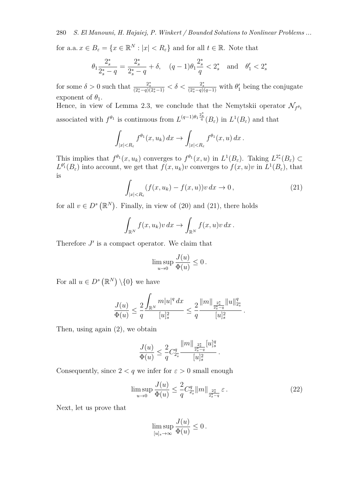280 *S. El Manouni, H. Hajaiej, P. Winkert / Bounded Solutions to Nonlinear Problems ...*

for a.a.  $x \in B_{\varepsilon} = \{x \in \mathbb{R}^N : |x| < R_{\varepsilon}\}\$ and for all  $t \in \mathbb{R}$ . Note that

$$
\theta_1 \frac{2_s^*}{2_s^* - q} = \frac{2_s^*}{2_s^* - q} + \delta, \quad (q - 1)\theta_1 \frac{2_s^*}{q} < 2_s^* \quad \text{and} \quad \theta_1' < 2_s^*
$$

for some  $\delta > 0$  such that  $\frac{2^*_s}{(2^*_s - q)(2^*_s - 1)} < \delta < \frac{2^*_s}{(2^*_s - q)(q-1)}$  with  $\theta'_1$  being the conjugate exponent of  $\theta_1$ .

Hence, in view of Lemma 2.3, we conclude that the Nemytskii operator  $\mathcal{N}_{f^{\theta_1}}$ associated with  $f^{\theta_1}$  is continuous from  $L^{(q-1)\theta_1}\frac{2^*_s}{q}(B_\varepsilon)$  in  $L^1(B_\varepsilon)$  and that

$$
\int_{|x|
$$

This implies that  $f^{\theta_1}(x, u_k)$  converges to  $f^{\theta_1}(x, u)$  in  $L^1(B_\varepsilon)$ . Taking  $L^{2^*_s}(B_\varepsilon) \subset$  $L^{\theta'}(B_{\varepsilon})$  into account, we get that  $f(x, u_k)v$  converges to  $f(x, u)v$  in  $L^1(B_{\varepsilon})$ , that is

$$
\int_{|x|
$$

for all  $v \in D^s(\mathbb{R}^N)$ . Finally, in view of (20) and (21), there holds

$$
\int_{\mathbb{R}^N} f(x, u_k)v \, dx \to \int_{\mathbb{R}^N} f(x, u)v \, dx \, .
$$

Therefore  $J'$  is a compact operator. We claim that

$$
\limsup_{u\to 0}\frac{J(u)}{\Phi(u)}\leq 0\,.
$$

For all  $u \in D^s(\mathbb{R}^N) \setminus \{0\}$  we have

$$
\frac{J(u)}{\Phi(u)} \le \frac{2}{q} \frac{\displaystyle \int_{\mathbb{R}^N} m|u|^q \,dx}{[u]_s^2} \le \frac{2}{q} \frac{\|m\|_{\frac{2^*_s}{2^*_s-q}} \|u\|_{2^*_s}^q}{[u]_s^2} \,.
$$

Then, using again (2), we obtain

$$
\frac{J(u)}{\Phi(u)} \le \frac{2}{q} C_{2_s^*}^q \frac{\|m\|_{\frac{2_s^*}{2_s^*-q}} [u]_s^q}{[u]_s^2}.
$$

Consequently, since  $2 < q$  we infer for  $\varepsilon > 0$  small enough

$$
\limsup_{u \to 0} \frac{J(u)}{\Phi(u)} \le \frac{2}{q} C_{2^*_s}^q \|m\|_{\frac{2^*_s}{2^*_s - q}} \varepsilon.
$$
\n(22)

Next, let us prove that

$$
\limsup_{[u]_s\to\infty}\frac{J(u)}{\Phi(u)}\leq 0.
$$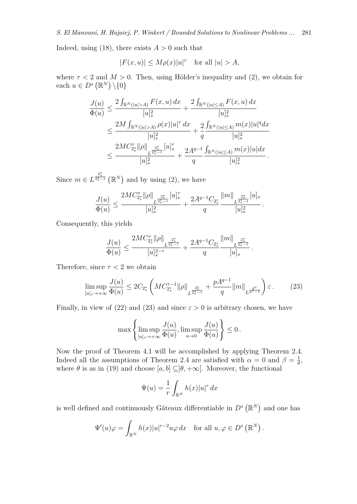Indeed, using  $(18)$ , there exists  $A > 0$  such that

$$
|F(x, u)| \le M\rho(x)|u|^\tau \quad \text{for all } |u| > A,
$$

where  $\tau$  < 2 and  $M > 0$ . Then, using Hölder's inequality and (2), we obtain for each  $u \in D^s(\mathbb{R}^N) \setminus \{0\}$ 

$$
\frac{J(u)}{\Phi(u)} \leq \frac{2\int_{\mathbb{R}^N(|u|>A)} F(x,u) dx}{[u]_s^2} + \frac{2\int_{\mathbb{R}^N(|u|\leq A)} F(x,u) dx}{[u]_s^2}
$$
  

$$
\leq \frac{2M\int_{\mathbb{R}^N(|u|>A)} \rho(x)|u|^\tau dx}{[u]_s^2} + \frac{2\int_{\mathbb{R}^N(|u|\leq A)} m(x)|u|^q dx}{[u]_s^2}
$$
  

$$
\leq \frac{2MC_{2_s^*}^\tau ||\rho||_{L^{\frac{2_s^*}{2_s^*-\tau}}} |u]_s^\tau}{[u]_s^2} + \frac{2A^{q-1}}{q} \frac{\int_{\mathbb{R}^N(|u|\leq A)} m(x)|u| dx}{[u]_s^2}.
$$

Since  $m \in L^{\frac{2^*_s}{2^*_s-1}}(\mathbb{R}^N)$  and by using (2), we have

$$
\frac{J(u)}{\Phi(u)}\leq \frac{2MC_{2^*_s}^{\tau}\|\rho\|_{L^{\frac{2^*_s}{2^*_s-\tau}}}[u]_s^{\tau}}{[u]_s^2}+\frac{2A^{q-1}C_{2^*_s}}{q}\frac{\|m\|_{L^{\frac{2^*_s}{2^*_s-1}}}[u]_s}{[u]_s^2}\,.
$$

Consequently, this yields

$$
\frac{J(u)}{\Phi(u)}\leq \frac{2MC_{2_s^*}^{\tau}\|\rho\|_{L^{\frac{2_s^*}{2_s^*-{\tau}}}}}{[u]_s^{2-{\tau}}}+\frac{2A^{q-1}C_{2_s^*}}{q}\frac{\|m\|_{L^{\frac{2_s^*}{2_s^*-1}}}}{[u]_s}
$$

Therefore, since  $\tau < 2$  we obtain

$$
\limsup_{[u]_s \to +\infty} \frac{J(u)}{\Phi(u)} \le 2C_{2_s^*} \left( MC_{2_s^*}^{\tau-1} \|\rho\|_{L^{\frac{2_s^*}{2_s^*-\tau}}} + \frac{pA^{q-1}}{q} \|m\|_{L^{\frac{p^*}{p^*-1}}} \right) \varepsilon \,. \tag{23}
$$

*.*

Finally, in view of (22) and (23) and since  $\varepsilon > 0$  is arbitrary chosen, we have

$$
\max\left\{\limsup_{[u]_s\to+\infty}\frac{J(u)}{\Phi(u)}, \limsup_{u\to 0}\frac{J(u)}{\Phi(u)}\right\}\leq 0\,.
$$

Now the proof of Theorem 4.1 will be accomplished by applying Theorem 2.4. Indeed all the assumptions of Theorem 2.4 are satisfied with  $\alpha = 0$  and  $\beta = \frac{1}{6}$  $\frac{1}{\theta}$ , where  $\theta$  is as in (19) and choose  $[a, b] \subseteq ]\theta, +\infty[$ . Moreover, the functional

$$
\Psi(u) = \frac{1}{r} \int_{\mathbb{R}^N} h(x) |u|^r dx
$$

is well defined and continuously Gâteaux differentiable in  $D<sup>s</sup>(\mathbb{R}<sup>N</sup>)$  and one has

$$
\Psi'(u)\varphi = \int_{\mathbb{R}^N} h(x)|u|^{r-2}u\varphi dx \quad \text{for all } u, \varphi \in D^s(\mathbb{R}^N).
$$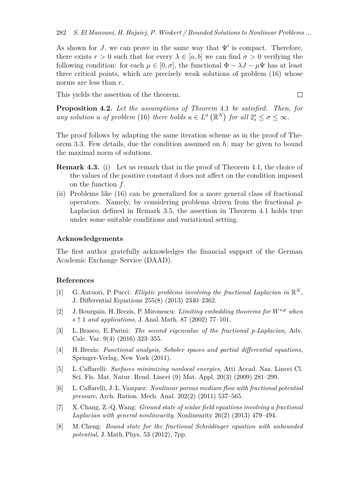As shown for *J*, we can prove in the same way that  $\Psi'$  is compact. Therefore, there exists  $r > 0$  such that for every  $\lambda \in [a, b]$  we can find  $\sigma > 0$  verifying the following condition: for each  $\mu \in [0, \sigma]$ , the functional  $\Phi - \lambda J - \mu \Psi$  has at least three critical points, which are precisely weak solutions of problem (16) whose norms are less than *r*.

This yields the assertion of the theorem.

**Proposition 4.2.** *Let the assumptions of Theorem* 4.1 *be satisfied. Then, for any solution u of problem* (16) *there holds*  $u \in L^{\sigma}(\mathbb{R}^N)$  *for all*  $2_s^* \leq \sigma \leq \infty$ *.* 

 $\Box$ 

The proof follows by adapting the same iteration scheme as in the proof of Theorem 3.3. Few details, due the condition assumed on *h*, may be given to bound the maximal norm of solutions.

- **Remark 4.3.** (i) Let us remark that in the proof of Theorem 4.1, the choice of the values of the positive constant  $\delta$  does not affect on the condition imposed on the function *f*.
- (ii) Problems like (16) can be generalized for a more general class of fractional operators. Namely, by considering problems driven from the fractional *p*-Laplacian defined in Remark 3.5, the assertion in Theorem 4.1 holds true under some suitable conditions and variational setting.

## **Acknowledgements**

The first author gratefully acknowledges the financial support of the German Academic Exchange Service (DAAD).

#### **References**

- [1] G. Autuori, P. Pucci: *Elliptic problems involving the fractional Laplacian in*  $\mathbb{R}^N$ , J. Differential Equations 255(8) (2013) 2340–2362.
- [2] J. Bourgain, H. Brezis, P. Mironescu: *Limiting embedding theorems for Ws,p when s ↑* 1 *and applications*, J. Anal. Math. 87 (2002) 77–101.
- [3] L. Brasco, E. Parini: *The second eigenvalue of the fractional p-Laplacian*, Adv. Calc. Var. 9(4) (2016) 323–355.
- [4] H. Brezis: *Functional analysis, Sobolev spaces and partial differential equations*, Springer-Verlag, New York (2011).
- [5] L. Caffarelli: *Surfaces minimizing nonlocal energies*, Atti Accad. Naz. Lincei Cl. Sci. Fis. Mat. Natur. Rend. Lincei (9) Mat. Appl. 20(3) (2009) 281–299.
- [6] L. Caffarelli, J. L. Vazquez: *Nonlinear porous medium flow with fractional potential pressure*, Arch. Ration. Mech. Anal. 202(2) (2011) 537–565.
- [7] X. Chang, Z.-Q. Wang: *Ground state of scalar field equations involving a fractional Laplacian with general nonlinearity*, Nonlinearity 26(2) (2013) 479–494.
- [8] M. Cheng: *Bound state for the fractional Schrödinger equation with unbounded potential*, J. Math. Phys. 53 (2012), 7pp.